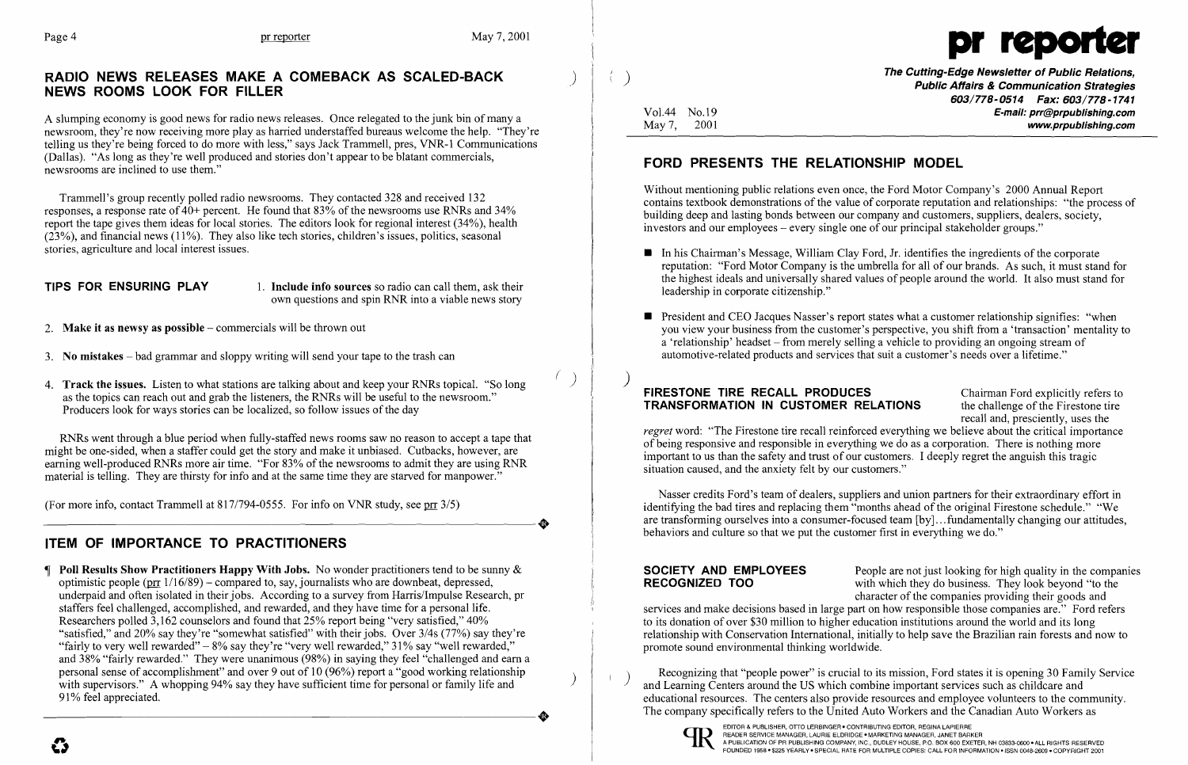

## RADIO NEWS RELEASES MAKE A COMEBACK AS SCALED-BACK NEWS ROOMS LOOK FOR FILLER

A slumping economy is good news for radio news releases. Once relegated to the junk bin of many a newsroom, they're now receiving more playas harried understaffed bureaus welcome the help. "They're telling us they're being forced to do more with less," says Jack Trammell, pres, VNR-1 Communications (Dallas). "As long as they're well produced and stories don't appear to be blatant commercials, newsrooms are inclined to use them."

**TIPS FOR ENSURING PLAY** 1. Include info sources so radio can call them, ask their own questions and spin RNR into a viable news story

Trammell's group recently polled radio newsrooms. They contacted 328 and received 132 responses, a response rate of  $40+$  percent. He found that 83% of the newsrooms use RNRs and 34% report the tape gives them ideas for local stories. The editors look for regional interest (34%), health  $(23%)$ , and financial news (11%). They also like tech stories, children's issues, politics, seasonal stories, agriculture and local interest issues.

- 2. **Make it as newsy as possible**  $-\text{commercials will be thrown out}$
- 3. No mistakes  $-$  bad grammar and sloppy writing will send your tape to the trash can
- 4. **Track the issues.** Listen to what stations are talking about and keep your RNRs topical. "So long as the topics can reach out and grab the listeners, the RNRs will be useful to the newsroom." Producers look for ways stories can be localized, so follow issues of the day

RNRs went through a blue period when fully-staffed news rooms saw no reason to accept a tape that might be one-sided, when a staffer could get the story and make it unbiased. Cutbacks, however, are earning well-produced RNRs more air time. "For 83% of the newsrooms to admit they are using RNR material is telling. They are thirsty for info and at the same time they are starved for manpower."

(For more info, contact Trammell at  $817/794-0555$ . For info on VNR study, see prod  $3/5$ ) (For more info, contact Trammell at 817/794-0555. For info on VNR study, see pr  $3/5$ )

 $\parallel$  Poll Results Show Practitioners Happy With Jobs. No wonder practitioners tend to be sunny & optimistic people ( $\text{prr}$  1/16/89) – compared to, say, journalists who are downbeat, depressed, underpaid and often isolated in their jobs. According to a survey from Harris/Impulse Research, pr staffers feel challenged, accomplished, and rewarded, and they have time for a personal life. Researchers polled 3,162 counselors and found that 25% report being "very satisfied," 40% "satisfied," and 20% say they're "somewhat satisfied" with their jobs. Over 3/4s (77%) say they're "fairly to very well rewarded"  $-8\%$  say they're "very well rewarded," 31% say "well rewarded," and 38% "fairly rewarded." They were unanimous (98%) in saying they feel "challenged and earn a personal sense of accomplishment" and over 9 out of 10 (96%) report a "good working relationship with supervisors." A whopping 94% say they have sufficient time for personal or family life and 91% feel appreciated. 91% feel appreciated.

 $\big)$ 

 $\langle \langle \rangle \rangle$ 

reputation: "Ford Motor Company is the umbrella for all of our brands. As such, it must stand for the highest ideals and universally shared values of people around the world. It also must stand for

# ITEM OF IMPORTANCE TO PRACTITIONERS

- In his Chairman's Message, William Clay Ford, Jr. identifies the ingredients of the corporate leadership in corporate citizenship."
- **•** President and CEO Jacques Nasser's report states what a customer relationship signifies: "when  $\alpha$  'relationship' headset – from merely selling a vehicle to providing an ongoing stream of automotive-related products and services that suit a customer's needs over a lifetime."

FIRESTONE TIRE RECALL PRODUCES Chairman Ford explicitly refers to **TRANSFORMATION IN CUSTOMER RELATIONS** the challenge of the Firestone tire recall and, presciently, uses the *regret* word: "The Firestone tire recall reinforced everything we believe about the critical importance of being responsive and responsible in everything we do as a corporation. There is nothing more important to us than the safety and trust of our customers. I deeply regret the anguish this tragic situation caused, and the anxiety felt by our customers."

**SOCIETY AND EMPLOYEES** People are not just looking for high quality in the companies<br>**RECOGNIZED TOO** with which they do business. They look beyond "to the with which they do business. They look beyond "to the character of the companies providing their goods and services and make decisions based in large part on how responsible those companies are." Ford refers to its donation of over \$30 million to higher education institutions around the world and its long relationship with Conservation International, initially to help save the Brazilian rain forests and now to promote sound environmental thinking worldwide.

Recognizing that "people power" is crucial to its mission, Ford states it is opening 30 Family Service and Learning Centers around the US which combine important services such as childcare and educational resources. The centers also provide resources and employee volunteers to the community. The company specifically refers to the United Auto Workers and the Canadian Auto Workers as

The Cutting-Edge Newsletter of Public Relations, ) Public Affairs & Communication Strategies *603/778-0514 Fax: 603/778-1741*  Vo1.44 No.19 E-mail: prr@prpublishing.com May 7, 2001 www.prpublishing.com

# FORD PRESENTS THE RELATIONSHIP MODEL

Without mentioning public relations even once, the Ford Motor Company's 2000 Annual Report contains textbook demonstrations of the value of corporate reputation and relationships: "the process of building deep and lasting bonds between our company and customers, suppliers, dealers, society, investors and our employees - every single one of our principal stakeholder groups."

you view your business from the customer's perspective, you shift from a 'transaction' mentality to

Nasser credits Ford's team of dealers, suppliers and union partners for their extraordinary effort in identifying the bad tires and replacing them "months ahead of the original Firestone schedule." "We are transforming ourselves into a consumer-focused team [by]...fundamentally changing our attitudes, behaviors and culture so that we put the customer first in everything we do."